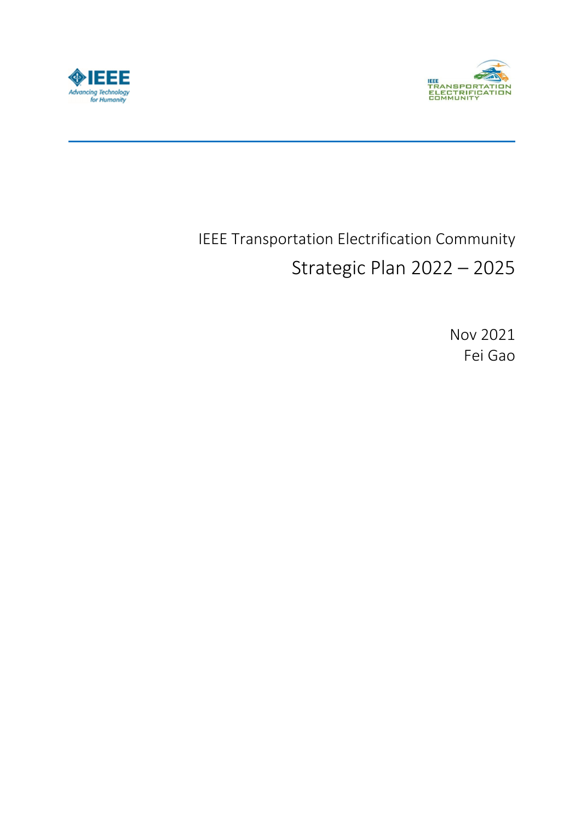



# IEEE Transportation Electrification Community Strategic Plan 2022 – 2025

Nov 2021 Fei Gao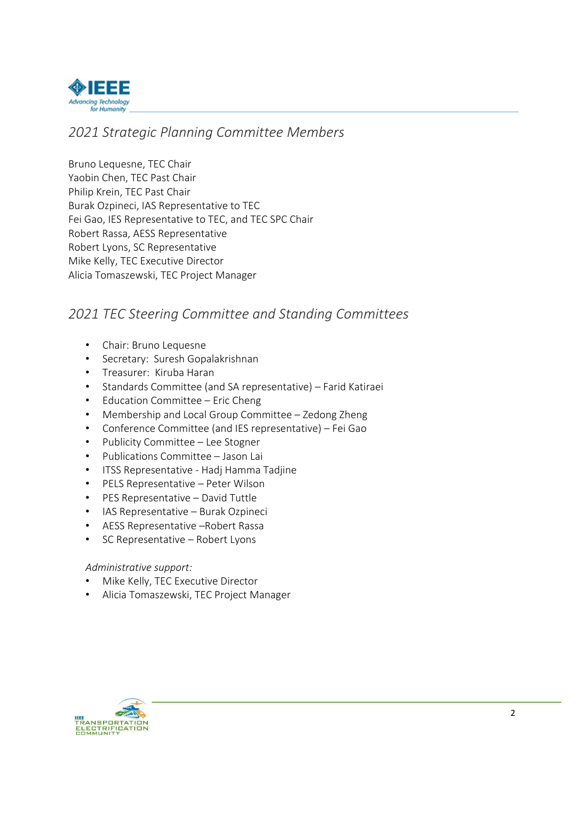

### *2021 Strategic Planning Committee Members*

Bruno Lequesne, TEC Chair Yaobin Chen, TEC Past Chair Philip Krein, TEC Past Chair Burak Ozpineci, IAS Representative to TEC Fei Gao, IES Representative to TEC, and TEC SPC Chair Robert Rassa, AESS Representative Robert Lyons, SC Representative Mike Kelly, TEC Executive Director Alicia Tomaszewski, TEC Project Manager

### *2021 TEC Steering Committee and Standing Committees*

- Chair: Bruno Lequesne
- Secretary: Suresh Gopalakrishnan
- Treasurer: Kiruba Haran
- Standards Committee (and SA representative) Farid Katiraei
- Education Committee Eric Cheng
- Membership and Local Group Committee Zedong Zheng
- Conference Committee (and IES representative) Fei Gao
- Publicity Committee Lee Stogner
- Publications Committee Jason Lai
- ITSS Representative ‐ Hadj Hamma Tadjine
- PELS Representative Peter Wilson
- PES Representative David Tuttle
- IAS Representative Burak Ozpineci
- AESS Representative –Robert Rassa
- SC Representative Robert Lyons

#### *Administrative support:*

- Mike Kelly, TEC Executive Director
- Alicia Tomaszewski, TEC Project Manager

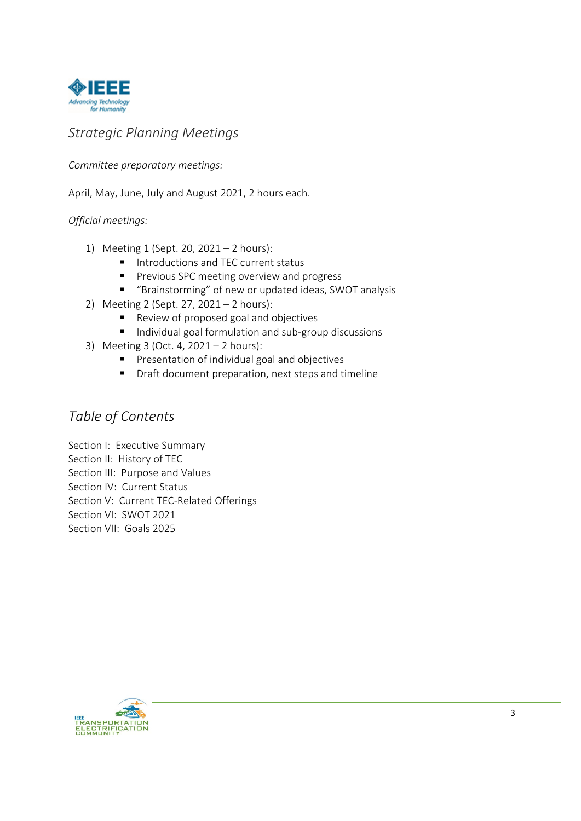

### *Strategic Planning Meetings*

### *Committee preparatory meetings:*

April, May, June, July and August 2021, 2 hours each.

### *Official meetings:*

- 1) Meeting 1 (Sept. 20, 2021 2 hours):
	- Introductions and TEC current status
	- **Previous SPC meeting overview and progress**
	- "Brainstorming" of new or updated ideas, SWOT analysis
- 2) Meeting 2 (Sept. 27, 2021 2 hours):
	- Review of proposed goal and objectives
	- Individual goal formulation and sub-group discussions
- 3) Meeting 3 (Oct. 4, 2021 2 hours):
	- **Presentation of individual goal and objectives**
	- **P** Draft document preparation, next steps and timeline

### *Table of Contents*

Section I: Executive Summary Section II: History of TEC Section III: Purpose and Values Section IV: Current Status Section V: Current TEC‐Related Offerings Section VI: SWOT 2021 Section VII: Goals 2025

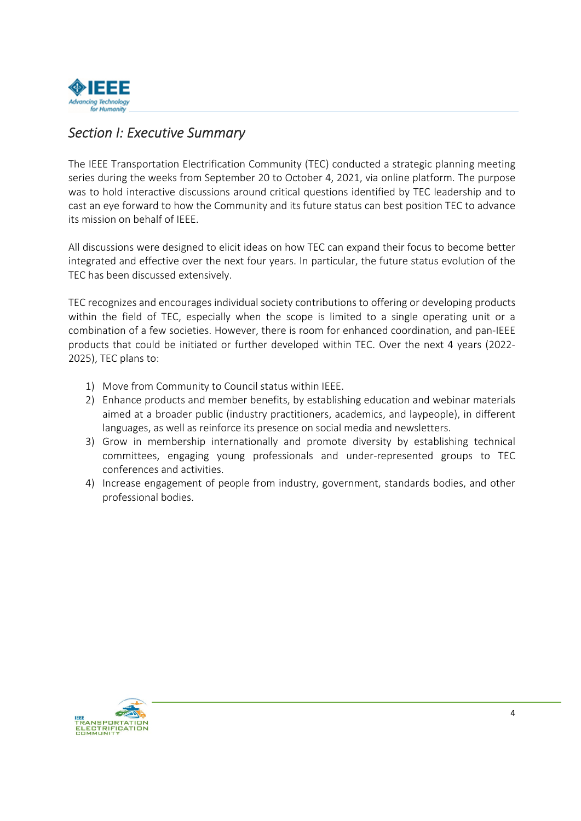

### *Section I: Executive Summary*

The IEEE Transportation Electrification Community (TEC) conducted a strategic planning meeting series during the weeks from September 20 to October 4, 2021, via online platform. The purpose was to hold interactive discussions around critical questions identified by TEC leadership and to cast an eye forward to how the Community and its future status can best position TEC to advance its mission on behalf of IEEE.

All discussions were designed to elicit ideas on how TEC can expand their focus to become better integrated and effective over the next four years. In particular, the future status evolution of the TEC has been discussed extensively.

TEC recognizes and encourages individual society contributions to offering or developing products within the field of TEC, especially when the scope is limited to a single operating unit or a combination of a few societies. However, there is room for enhanced coordination, and pan‐IEEE products that could be initiated or further developed within TEC. Over the next 4 years (2022‐ 2025), TEC plans to:

- 1) Move from Community to Council status within IEEE.
- 2) Enhance products and member benefits, by establishing education and webinar materials aimed at a broader public (industry practitioners, academics, and laypeople), in different languages, as well as reinforce its presence on social media and newsletters.
- 3) Grow in membership internationally and promote diversity by establishing technical committees, engaging young professionals and under‐represented groups to TEC conferences and activities.
- 4) Increase engagement of people from industry, government, standards bodies, and other professional bodies.

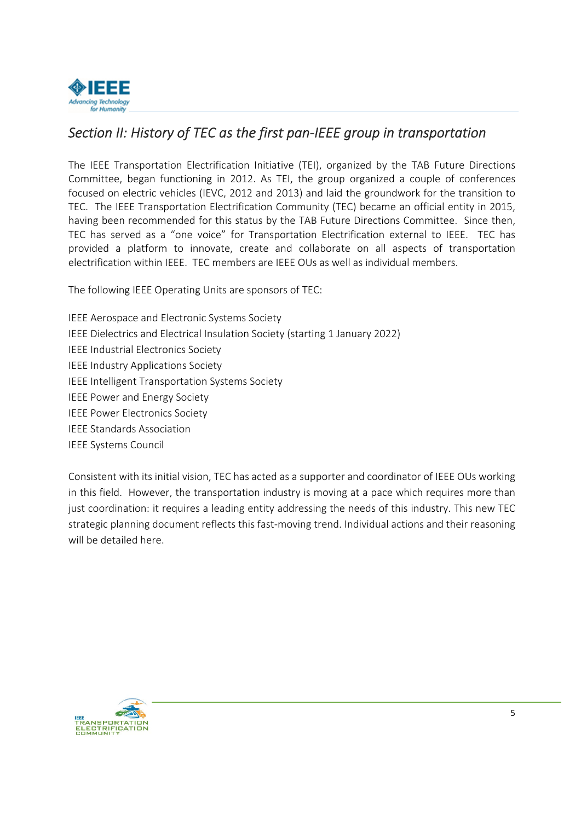

### Section II: History of TEC as the first pan-IEEE group in transportation

The IEEE Transportation Electrification Initiative (TEI), organized by the TAB Future Directions Committee, began functioning in 2012. As TEI, the group organized a couple of conferences focused on electric vehicles (IEVC, 2012 and 2013) and laid the groundwork for the transition to TEC. The IEEE Transportation Electrification Community (TEC) became an official entity in 2015, having been recommended for this status by the TAB Future Directions Committee. Since then, TEC has served as a "one voice" for Transportation Electrification external to IEEE. TEC has provided a platform to innovate, create and collaborate on all aspects of transportation electrification within IEEE. TEC members are IEEE OUs as well as individual members.

The following IEEE Operating Units are sponsors of TEC:

IEEE Aerospace and Electronic Systems Society IEEE Dielectrics and Electrical Insulation Society (starting 1 January 2022) IEEE Industrial Electronics Society IEEE Industry Applications Society IEEE Intelligent Transportation Systems Society IEEE Power and Energy Society IEEE Power Electronics Society IEEE Standards Association IEEE Systems Council

Consistent with its initial vision, TEC has acted as a supporter and coordinator of IEEE OUs working in this field. However, the transportation industry is moving at a pace which requires more than just coordination: it requires a leading entity addressing the needs of this industry. This new TEC strategic planning document reflects this fast-moving trend. Individual actions and their reasoning will be detailed here.

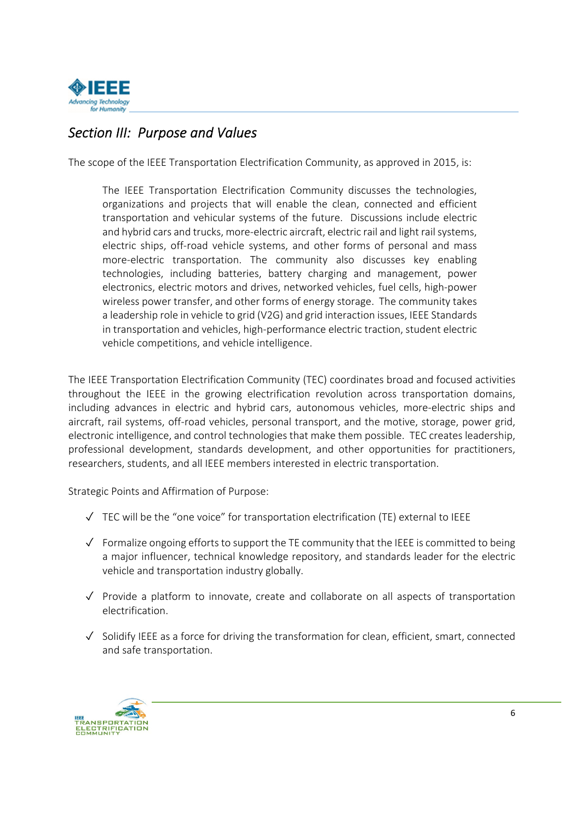

# *Section III: Purpose and Values*

The scope of the IEEE Transportation Electrification Community, as approved in 2015, is:

The IEEE Transportation Electrification Community discusses the technologies, organizations and projects that will enable the clean, connected and efficient transportation and vehicular systems of the future. Discussions include electric and hybrid cars and trucks, more-electric aircraft, electric rail and light rail systems, electric ships, off-road vehicle systems, and other forms of personal and mass more‐electric transportation. The community also discusses key enabling technologies, including batteries, battery charging and management, power electronics, electric motors and drives, networked vehicles, fuel cells, high‐power wireless power transfer, and other forms of energy storage. The community takes a leadership role in vehicle to grid (V2G) and grid interaction issues, IEEE Standards in transportation and vehicles, high‐performance electric traction, student electric vehicle competitions, and vehicle intelligence.

The IEEE Transportation Electrification Community (TEC) coordinates broad and focused activities throughout the IEEE in the growing electrification revolution across transportation domains, including advances in electric and hybrid cars, autonomous vehicles, more‐electric ships and aircraft, rail systems, off-road vehicles, personal transport, and the motive, storage, power grid, electronic intelligence, and control technologies that make them possible. TEC creates leadership, professional development, standards development, and other opportunities for practitioners, researchers, students, and all IEEE members interested in electric transportation.

Strategic Points and Affirmation of Purpose:

- ✓ TEC will be the "one voice" for transportation electrification (TE) external to IEEE
- ✓ Formalize ongoing effortsto support the TE community that the IEEE is committed to being a major influencer, technical knowledge repository, and standards leader for the electric vehicle and transportation industry globally.
- ✓ Provide a platform to innovate, create and collaborate on all aspects of transportation electrification.
- ✓ Solidify IEEE as a force for driving the transformation for clean, efficient, smart, connected and safe transportation.

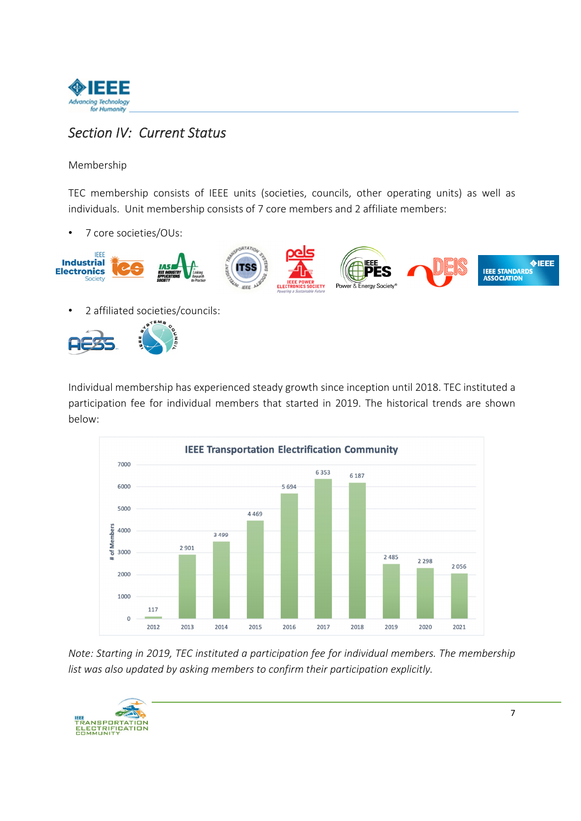

# *Section IV: Current Status*

#### Membership

TEC membership consists of IEEE units (societies, councils, other operating units) as well as individuals. Unit membership consists of 7 core members and 2 affiliate members:

• 7 core societies/OUs:



• 2 affiliated societies/councils:



Individual membership has experienced steady growth since inception until 2018. TEC instituted a participation fee for individual members that started in 2019. The historical trends are shown below:



*Note: Starting in 2019, TEC instituted a participation fee for individual members. The membership list was also updated by asking members to confirm their participation explicitly.* 

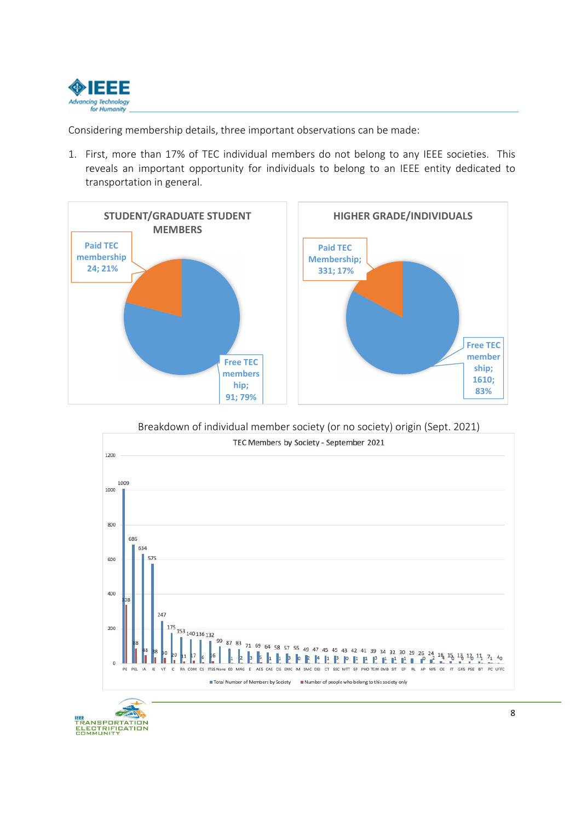

Considering membership details, three important observations can be made:

1. First, more than 17% of TEC individual members do not belong to any IEEE societies. This reveals an important opportunity for individuals to belong to an IEEE entity dedicated to transportation in general.







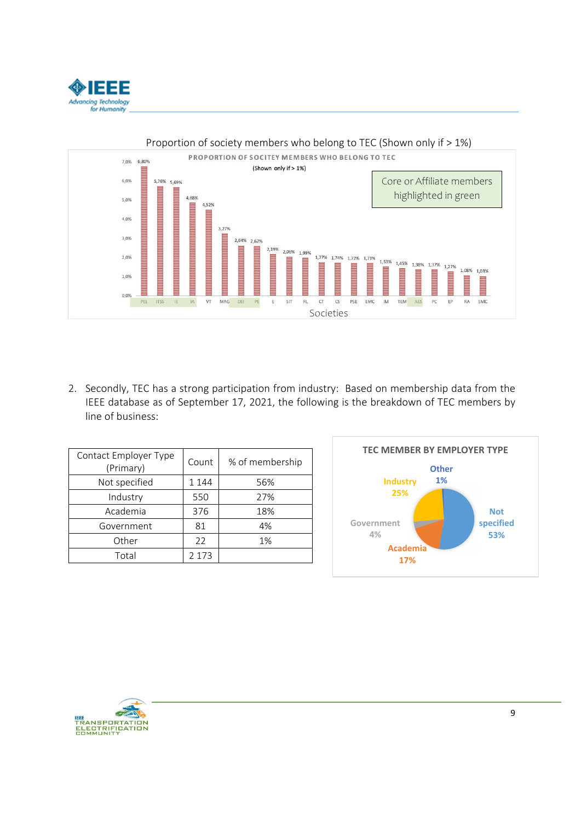



2. Secondly, TEC has a strong participation from industry: Based on membership data from the IEEE database as of September 17, 2021, the following is the breakdown of TEC members by line of business:

| Contact Employer Type<br>(Primary) | Count   | % of membership |
|------------------------------------|---------|-----------------|
| Not specified                      | 1 1 4 4 | 56%             |
| Industry                           | 550     | 27%             |
| Academia                           | 376     | 18%             |
| Government                         | 81      | 4%              |
| Other                              | 22      | 1%              |
| Total                              | 2 1 7 3 |                 |



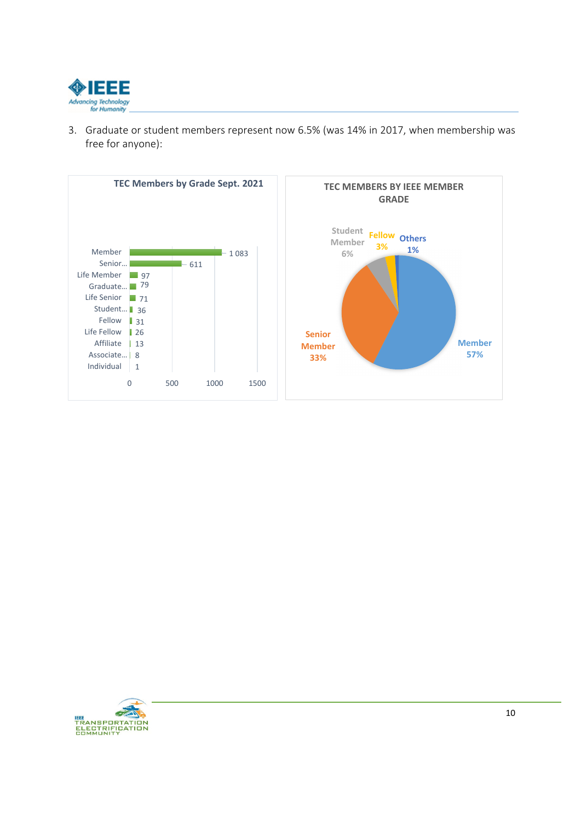

3. Graduate or student members represent now 6.5% (was 14% in 2017, when membership was free for anyone):



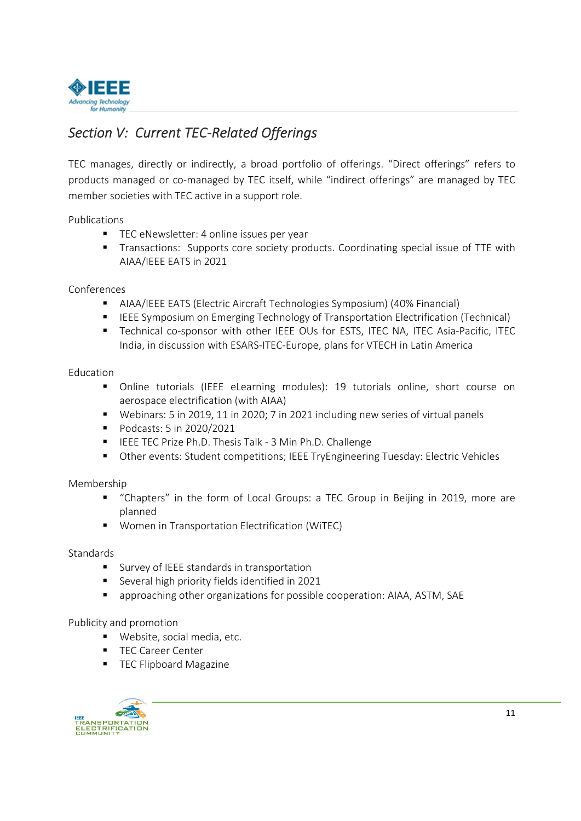

# *Section V: Current TEC‐Related Offerings*

TEC manages, directly or indirectly, a broad portfolio of offerings. "Direct offerings" refers to products managed or co-managed by TEC itself, while "indirect offerings" are managed by TEC member societies with TEC active in a support role.

Publications

- TEC eNewsletter: 4 online issues per year
- **Transactions: Supports core society products. Coordinating special issue of TTE with** AIAA/IEEE EATS in 2021

#### Conferences

- AIAA/IEEE EATS (Electric Aircraft Technologies Symposium) (40% Financial)
- **IFEE Symposium on Emerging Technology of Transportation Electrification (Technical)**
- Technical co-sponsor with other IEEE OUs for ESTS, ITEC NA, ITEC Asia-Pacific, ITEC India, in discussion with ESARS‐ITEC‐Europe, plans for VTECH in Latin America

#### Education

- Online tutorials (IEEE eLearning modules): 19 tutorials online, short course on aerospace electrification (with AIAA)
- Webinars: 5 in 2019, 11 in 2020; 7 in 2021 including new series of virtual panels
- **Podcasts: 5 in 2020/2021**
- IEEE TEC Prize Ph.D. Thesis Talk 3 Min Ph.D. Challenge
- Other events: Student competitions; IEEE TryEngineering Tuesday: Electric Vehicles

#### Membership

- "Chapters" in the form of Local Groups: a TEC Group in Beijing in 2019, more are planned
- **Women in Transportation Electrification (WITEC)**

#### **Standards**

- **SURICE** standards in transportation
- Several high priority fields identified in 2021
- approaching other organizations for possible cooperation: AIAA, ASTM, SAE

#### Publicity and promotion

- Website, social media, etc.
- **TEC Career Center**
- **TEC Flipboard Magazine**

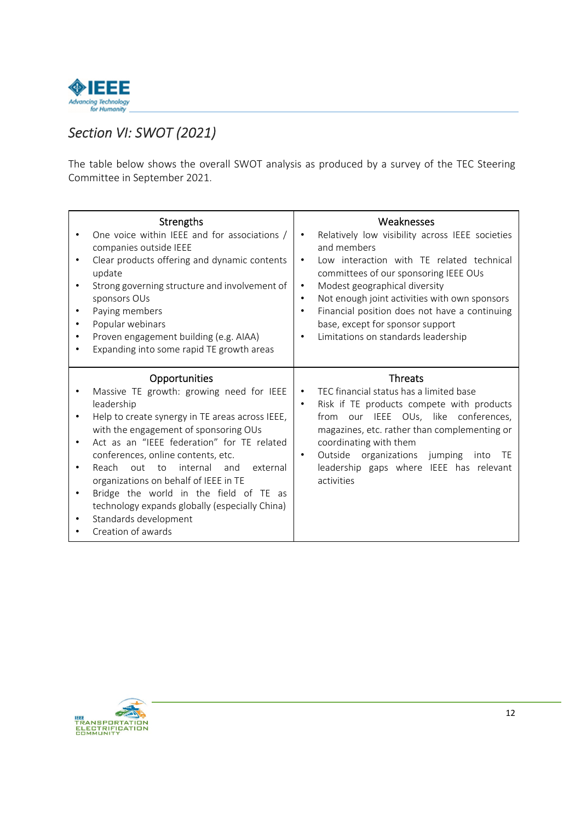

# *Section VI: SWOT (2021)*

The table below shows the overall SWOT analysis as produced by a survey of the TEC Steering Committee in September 2021.

| <b>Strengths</b><br>One voice within IEEE and for associations /<br>companies outside IEEE<br>Clear products offering and dynamic contents<br>$\bullet$<br>update<br>Strong governing structure and involvement of<br>$\bullet$<br>sponsors OUs<br>Paying members<br>Popular webinars<br>Proven engagement building (e.g. AIAA)<br>Expanding into some rapid TE growth areas                                                                                                                                    | Weaknesses<br>Relatively low visibility across IEEE societies<br>and members<br>Low interaction with TE related technical<br>٠<br>committees of our sponsoring IEEE OUs<br>Modest geographical diversity<br>$\bullet$<br>Not enough joint activities with own sponsors<br>$\bullet$<br>Financial position does not have a continuing<br>$\bullet$<br>base, except for sponsor support<br>Limitations on standards leadership<br>٠ |
|-----------------------------------------------------------------------------------------------------------------------------------------------------------------------------------------------------------------------------------------------------------------------------------------------------------------------------------------------------------------------------------------------------------------------------------------------------------------------------------------------------------------|-----------------------------------------------------------------------------------------------------------------------------------------------------------------------------------------------------------------------------------------------------------------------------------------------------------------------------------------------------------------------------------------------------------------------------------|
| Opportunities<br>Massive TE growth: growing need for IEEE<br>leadership<br>Help to create synergy in TE areas across IEEE,<br>with the engagement of sponsoring OUs<br>Act as an "IEEE federation" for TE related<br>conferences, online contents, etc.<br>Reach<br>out<br>internal<br>external<br>− to<br>and<br>organizations on behalf of IEEE in TE<br>Bridge the world in the field of TE as<br>$\bullet$<br>technology expands globally (especially China)<br>Standards development<br>Creation of awards | <b>Threats</b><br>TEC financial status has a limited base<br>$\bullet$<br>Risk if TE products compete with products<br>$\bullet$<br>IEEE OUs, like conferences,<br>from<br>our<br>magazines, etc. rather than complementing or<br>coordinating with them<br>Outside organizations jumping<br>- TE<br>into<br>leadership gaps where IEEE has relevant<br>activities                                                                |

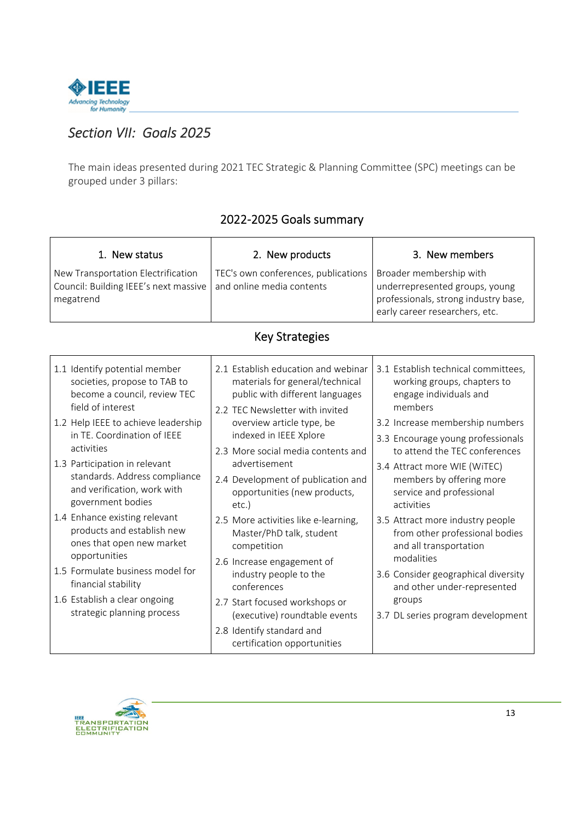

# *Section VII: Goals 2025*

The main ideas presented during 2021 TEC Strategic & Planning Committee (SPC) meetings can be grouped under 3 pillars:

| 1. New status                                                                                                                                                                                                                                                                                                                                                                                                                                                                                                                                                       | 2. New products                                                                                                                                                                                                                                                                                                                                                                                                                                                                                                                                                                                                                       | 3. New members                                                                                                                                                                                                                                                                                                                                                                                                                                                                                                                                            |  |  |
|---------------------------------------------------------------------------------------------------------------------------------------------------------------------------------------------------------------------------------------------------------------------------------------------------------------------------------------------------------------------------------------------------------------------------------------------------------------------------------------------------------------------------------------------------------------------|---------------------------------------------------------------------------------------------------------------------------------------------------------------------------------------------------------------------------------------------------------------------------------------------------------------------------------------------------------------------------------------------------------------------------------------------------------------------------------------------------------------------------------------------------------------------------------------------------------------------------------------|-----------------------------------------------------------------------------------------------------------------------------------------------------------------------------------------------------------------------------------------------------------------------------------------------------------------------------------------------------------------------------------------------------------------------------------------------------------------------------------------------------------------------------------------------------------|--|--|
| New Transportation Electrification<br>Council: Building IEEE's next massive<br>megatrend                                                                                                                                                                                                                                                                                                                                                                                                                                                                            | TEC's own conferences, publications<br>and online media contents                                                                                                                                                                                                                                                                                                                                                                                                                                                                                                                                                                      | Broader membership with<br>underrepresented groups, young<br>professionals, strong industry base,<br>early career researchers, etc.                                                                                                                                                                                                                                                                                                                                                                                                                       |  |  |
| <b>Key Strategies</b>                                                                                                                                                                                                                                                                                                                                                                                                                                                                                                                                               |                                                                                                                                                                                                                                                                                                                                                                                                                                                                                                                                                                                                                                       |                                                                                                                                                                                                                                                                                                                                                                                                                                                                                                                                                           |  |  |
| 1.1 Identify potential member<br>societies, propose to TAB to<br>become a council, review TEC<br>field of interest<br>1.2 Help IEEE to achieve leadership<br>in TE. Coordination of IEEE<br>activities<br>1.3 Participation in relevant<br>standards. Address compliance<br>and verification, work with<br>government bodies<br>1.4 Enhance existing relevant<br>products and establish new<br>ones that open new market<br>opportunities<br>1.5 Formulate business model for<br>financial stability<br>1.6 Establish a clear ongoing<br>strategic planning process | 2.1 Establish education and webinar<br>materials for general/technical<br>public with different languages<br>2.2 TEC Newsletter with invited<br>overview article type, be<br>indexed in IEEE Xplore<br>2.3 More social media contents and<br>advertisement<br>2.4 Development of publication and<br>opportunities (new products,<br>$etc.$ )<br>2.5 More activities like e-learning,<br>Master/PhD talk, student<br>competition<br>2.6 Increase engagement of<br>industry people to the<br>conferences<br>2.7 Start focused workshops or<br>(executive) roundtable events<br>2.8 Identify standard and<br>certification opportunities | 3.1 Establish technical committees,<br>working groups, chapters to<br>engage individuals and<br>members<br>3.2 Increase membership numbers<br>3.3 Encourage young professionals<br>to attend the TEC conferences<br>3.4 Attract more WIE (WITEC)<br>members by offering more<br>service and professional<br>activities<br>3.5 Attract more industry people<br>from other professional bodies<br>and all transportation<br>modalities<br>3.6 Consider geographical diversity<br>and other under-represented<br>groups<br>3.7 DL series program development |  |  |

### 2022‐2025 Goals summary

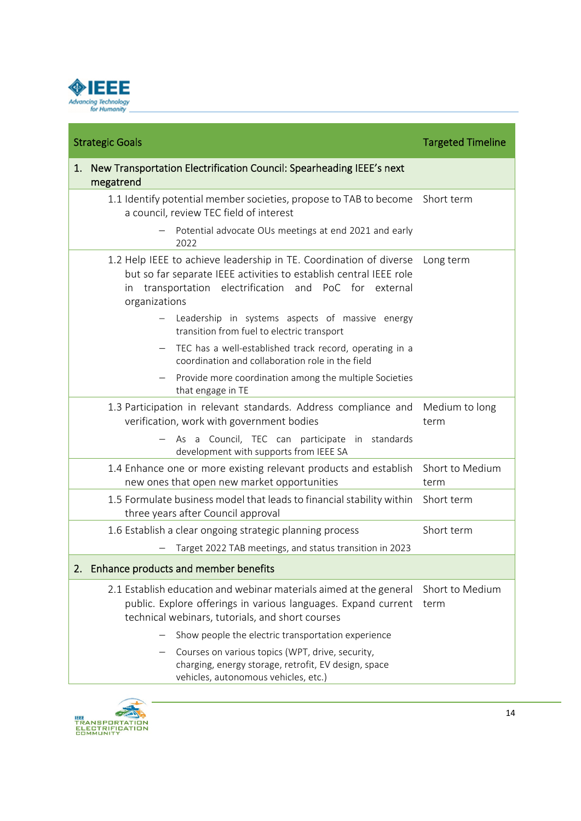

| <b>Strategic Goals</b>                                                                                                                                                                                                       | <b>Targeted Timeline</b> |
|------------------------------------------------------------------------------------------------------------------------------------------------------------------------------------------------------------------------------|--------------------------|
| New Transportation Electrification Council: Spearheading IEEE's next<br>1.<br>megatrend                                                                                                                                      |                          |
| 1.1 Identify potential member societies, propose to TAB to become Short term<br>a council, review TEC field of interest                                                                                                      |                          |
| Potential advocate OUs meetings at end 2021 and early<br>2022                                                                                                                                                                |                          |
| 1.2 Help IEEE to achieve leadership in TE. Coordination of diverse<br>but so far separate IEEE activities to establish central IEEE role<br>electrification<br>transportation<br>and PoC for external<br>in<br>organizations | Long term                |
| Leadership in systems aspects of massive energy<br>transition from fuel to electric transport                                                                                                                                |                          |
| TEC has a well-established track record, operating in a<br>coordination and collaboration role in the field                                                                                                                  |                          |
| Provide more coordination among the multiple Societies<br>that engage in TE                                                                                                                                                  |                          |
| 1.3 Participation in relevant standards. Address compliance and<br>verification, work with government bodies                                                                                                                 | Medium to long<br>term   |
| As a Council, TEC can participate in standards<br>development with supports from IEEE SA                                                                                                                                     |                          |
| 1.4 Enhance one or more existing relevant products and establish<br>new ones that open new market opportunities                                                                                                              | Short to Medium<br>term  |
| 1.5 Formulate business model that leads to financial stability within<br>three years after Council approval                                                                                                                  | Short term               |
| 1.6 Establish a clear ongoing strategic planning process<br>Target 2022 TAB meetings, and status transition in 2023                                                                                                          | Short term               |
| 2. Enhance products and member benefits                                                                                                                                                                                      |                          |
| 2.1 Establish education and webinar materials aimed at the general<br>public. Explore offerings in various languages. Expand current<br>technical webinars, tutorials, and short courses                                     | Short to Medium<br>term  |
| Show people the electric transportation experience                                                                                                                                                                           |                          |
| Courses on various topics (WPT, drive, security,<br>charging, energy storage, retrofit, EV design, space<br>vehicles, autonomous vehicles, etc.)                                                                             |                          |

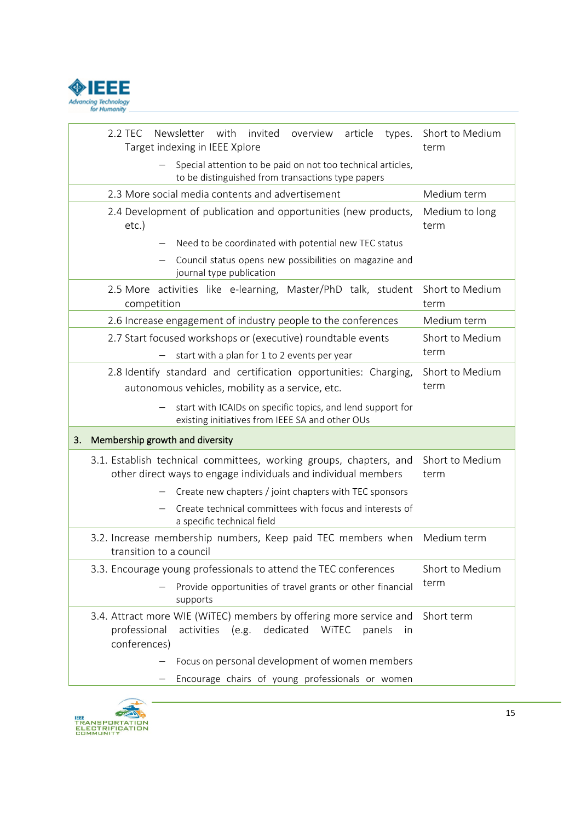

| Newsletter<br>with invited overview<br>article<br>2.2 TEC<br>types.<br>Target indexing in IEEE Xplore                                                               | Short to Medium<br>term |  |
|---------------------------------------------------------------------------------------------------------------------------------------------------------------------|-------------------------|--|
| Special attention to be paid on not too technical articles,<br>to be distinguished from transactions type papers                                                    |                         |  |
| 2.3 More social media contents and advertisement<br>Medium term                                                                                                     |                         |  |
| 2.4 Development of publication and opportunities (new products,<br>$etc.$ )                                                                                         | Medium to long<br>term  |  |
| Need to be coordinated with potential new TEC status                                                                                                                |                         |  |
| Council status opens new possibilities on magazine and<br>journal type publication                                                                                  |                         |  |
| 2.5 More activities like e-learning, Master/PhD talk, student<br>competition                                                                                        | Short to Medium<br>term |  |
| 2.6 Increase engagement of industry people to the conferences                                                                                                       | Medium term             |  |
| 2.7 Start focused workshops or (executive) roundtable events<br>start with a plan for 1 to 2 events per year                                                        | Short to Medium<br>term |  |
| 2.8 Identify standard and certification opportunities: Charging,<br>autonomous vehicles, mobility as a service, etc.                                                | Short to Medium<br>term |  |
| start with ICAIDs on specific topics, and lend support for                                                                                                          |                         |  |
| existing initiatives from IEEE SA and other OUs                                                                                                                     |                         |  |
| Membership growth and diversity<br>3.                                                                                                                               |                         |  |
| 3.1. Establish technical committees, working groups, chapters, and<br>other direct ways to engage individuals and individual members                                | Short to Medium<br>term |  |
| Create new chapters / joint chapters with TEC sponsors                                                                                                              |                         |  |
| Create technical committees with focus and interests of<br>a specific technical field                                                                               |                         |  |
| 3.2. Increase membership numbers, Keep paid TEC members when<br>transition to a council                                                                             | Medium term             |  |
| 3.3. Encourage young professionals to attend the TEC conferences                                                                                                    | Short to Medium         |  |
| Provide opportunities of travel grants or other financial<br>supports                                                                                               | term                    |  |
| 3.4. Attract more WIE (WITEC) members by offering more service and<br>professional<br>dedicated<br><b>WITEC</b><br>activities (e.g.<br>panels<br>in<br>conferences) | Short term              |  |
| Focus on personal development of women members                                                                                                                      |                         |  |

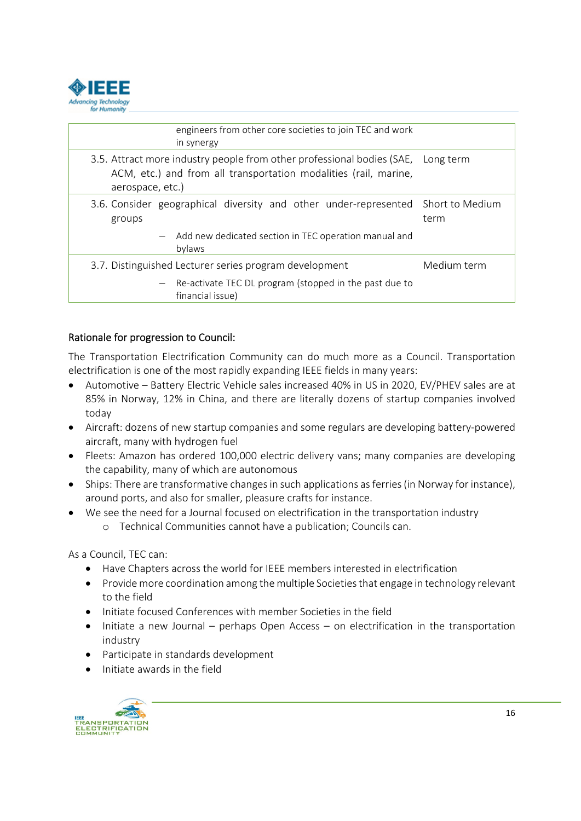

| engineers from other core societies to join TEC and work<br>in synergy                                                                                                   |             |
|--------------------------------------------------------------------------------------------------------------------------------------------------------------------------|-------------|
| 3.5. Attract more industry people from other professional bodies (SAE, Long term<br>ACM, etc.) and from all transportation modalities (rail, marine,<br>aerospace, etc.) |             |
| 3.6. Consider geographical diversity and other under-represented Short to Medium<br>groups                                                                               | term        |
| - Add new dedicated section in TEC operation manual and<br>bylaws                                                                                                        |             |
| 3.7. Distinguished Lecturer series program development                                                                                                                   | Medium term |
| - Re-activate TEC DL program (stopped in the past due to<br>financial issue)                                                                                             |             |

### Rationale for progression to Council:

The Transportation Electrification Community can do much more as a Council. Transportation electrification is one of the most rapidly expanding IEEE fields in many years:

- Automotive Battery Electric Vehicle sales increased 40% in US in 2020, EV/PHEV sales are at 85% in Norway, 12% in China, and there are literally dozens of startup companies involved today
- Aircraft: dozens of new startup companies and some regulars are developing battery‐powered aircraft, many with hydrogen fuel
- Fleets: Amazon has ordered 100,000 electric delivery vans; many companies are developing the capability, many of which are autonomous
- Ships: There are transformative changes in such applications as ferries (in Norway for instance), around ports, and also for smaller, pleasure crafts for instance.
- We see the need for a Journal focused on electrification in the transportation industry o Technical Communities cannot have a publication; Councils can.

As a Council, TEC can:

- Have Chapters across the world for IEEE members interested in electrification
- Provide more coordination among the multiple Societies that engage in technology relevant to the field
- Initiate focused Conferences with member Societies in the field
- $\bullet$  Initiate a new Journal perhaps Open Access on electrification in the transportation industry
- Participate in standards development
- $\bullet$  Initiate awards in the field